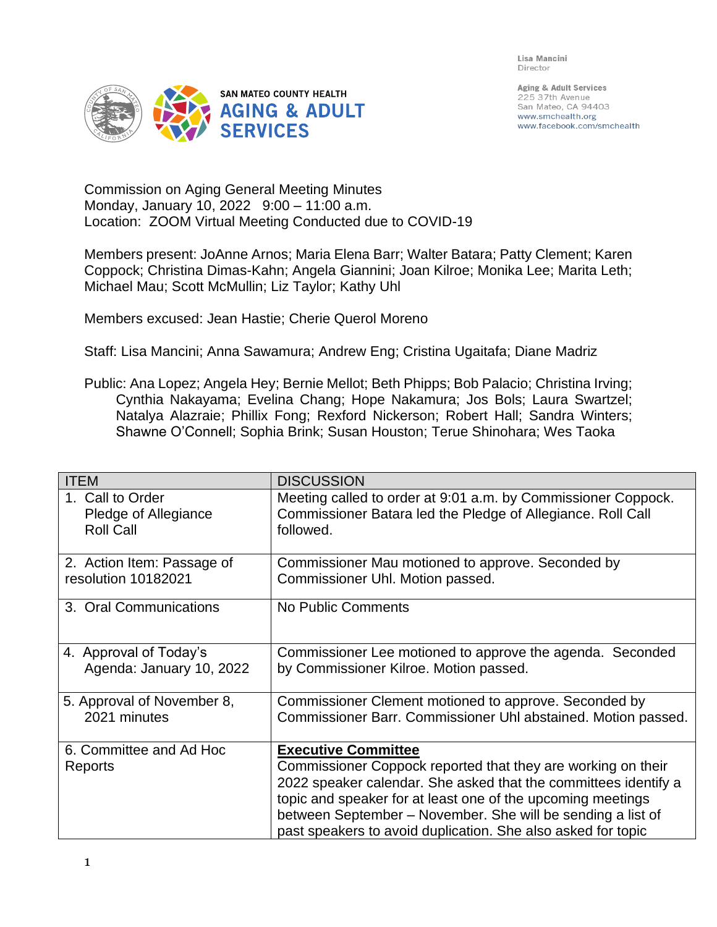Lisa Mancini Director



Aging & Adult Services 225 37th Avenue San Mateo, CA 94403 www.smchealth.org www.facebook.com/smchealth

Commission on Aging General Meeting Minutes Monday, January 10, 2022 9:00 – 11:00 a.m. Location: ZOOM Virtual Meeting Conducted due to COVID-19

Members present: JoAnne Arnos; Maria Elena Barr; Walter Batara; Patty Clement; Karen Coppock; Christina Dimas-Kahn; Angela Giannini; Joan Kilroe; Monika Lee; Marita Leth; Michael Mau; Scott McMullin; Liz Taylor; Kathy Uhl

Members excused: Jean Hastie; Cherie Querol Moreno

Staff: Lisa Mancini; Anna Sawamura; Andrew Eng; Cristina Ugaitafa; Diane Madriz

Public: Ana Lopez; Angela Hey; Bernie Mellot; Beth Phipps; Bob Palacio; Christina Irving; Cynthia Nakayama; Evelina Chang; Hope Nakamura; Jos Bols; Laura Swartzel; Natalya Alazraie; Phillix Fong; Rexford Nickerson; Robert Hall; Sandra Winters; Shawne O'Connell; Sophia Brink; Susan Houston; Terue Shinohara; Wes Taoka

| <b>ITEM</b>                                                  | <b>DISCUSSION</b>                                                                                                                         |
|--------------------------------------------------------------|-------------------------------------------------------------------------------------------------------------------------------------------|
| 1. Call to Order<br>Pledge of Allegiance<br><b>Roll Call</b> | Meeting called to order at 9:01 a.m. by Commissioner Coppock.<br>Commissioner Batara led the Pledge of Allegiance. Roll Call<br>followed. |
| 2. Action Item: Passage of<br>resolution 10182021            | Commissioner Mau motioned to approve. Seconded by<br>Commissioner Uhl. Motion passed.                                                     |
| 3. Oral Communications                                       | No Public Comments                                                                                                                        |
| 4. Approval of Today's<br>Agenda: January 10, 2022           | Commissioner Lee motioned to approve the agenda. Seconded<br>by Commissioner Kilroe. Motion passed.                                       |
| 5. Approval of November 8,<br>2021 minutes                   | Commissioner Clement motioned to approve. Seconded by<br>Commissioner Barr. Commissioner Uhl abstained. Motion passed.                    |
| 6. Committee and Ad Hoc                                      | <b>Executive Committee</b>                                                                                                                |
| Reports                                                      | Commissioner Coppock reported that they are working on their                                                                              |
|                                                              | 2022 speaker calendar. She asked that the committees identify a                                                                           |
|                                                              | topic and speaker for at least one of the upcoming meetings                                                                               |
|                                                              | between September - November. She will be sending a list of<br>past speakers to avoid duplication. She also asked for topic               |
|                                                              |                                                                                                                                           |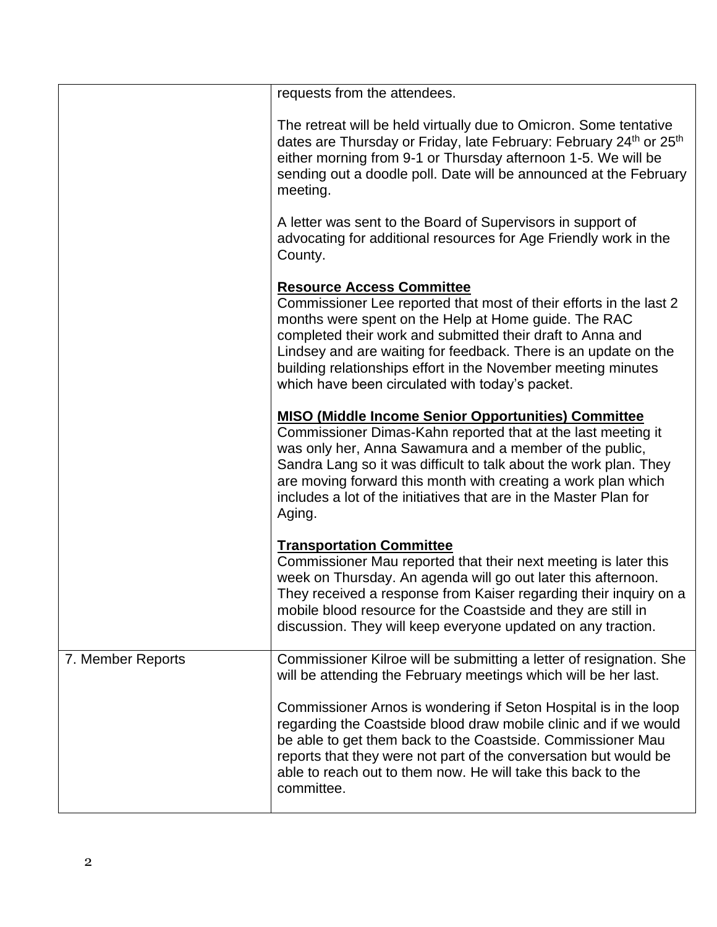|                   | requests from the attendees.                                                                                                                                                                                                                                                                                                                                                                                        |
|-------------------|---------------------------------------------------------------------------------------------------------------------------------------------------------------------------------------------------------------------------------------------------------------------------------------------------------------------------------------------------------------------------------------------------------------------|
|                   | The retreat will be held virtually due to Omicron. Some tentative<br>dates are Thursday or Friday, late February: February 24 <sup>th</sup> or 25 <sup>th</sup><br>either morning from 9-1 or Thursday afternoon 1-5. We will be<br>sending out a doodle poll. Date will be announced at the February<br>meeting.                                                                                                   |
|                   | A letter was sent to the Board of Supervisors in support of<br>advocating for additional resources for Age Friendly work in the<br>County.                                                                                                                                                                                                                                                                          |
|                   | <b>Resource Access Committee</b><br>Commissioner Lee reported that most of their efforts in the last 2<br>months were spent on the Help at Home guide. The RAC<br>completed their work and submitted their draft to Anna and<br>Lindsey and are waiting for feedback. There is an update on the<br>building relationships effort in the November meeting minutes<br>which have been circulated with today's packet. |
|                   | <b>MISO (Middle Income Senior Opportunities) Committee</b><br>Commissioner Dimas-Kahn reported that at the last meeting it<br>was only her, Anna Sawamura and a member of the public,<br>Sandra Lang so it was difficult to talk about the work plan. They<br>are moving forward this month with creating a work plan which<br>includes a lot of the initiatives that are in the Master Plan for<br>Aging.          |
|                   | <b>Transportation Committee</b><br>Commissioner Mau reported that their next meeting is later this<br>week on Thursday. An agenda will go out later this afternoon.<br>They received a response from Kaiser regarding their inquiry on a<br>mobile blood resource for the Coastside and they are still in<br>discussion. They will keep everyone updated on any traction.                                           |
| 7. Member Reports | Commissioner Kilroe will be submitting a letter of resignation. She<br>will be attending the February meetings which will be her last.                                                                                                                                                                                                                                                                              |
|                   | Commissioner Arnos is wondering if Seton Hospital is in the loop<br>regarding the Coastside blood draw mobile clinic and if we would<br>be able to get them back to the Coastside. Commissioner Mau<br>reports that they were not part of the conversation but would be<br>able to reach out to them now. He will take this back to the<br>committee.                                                               |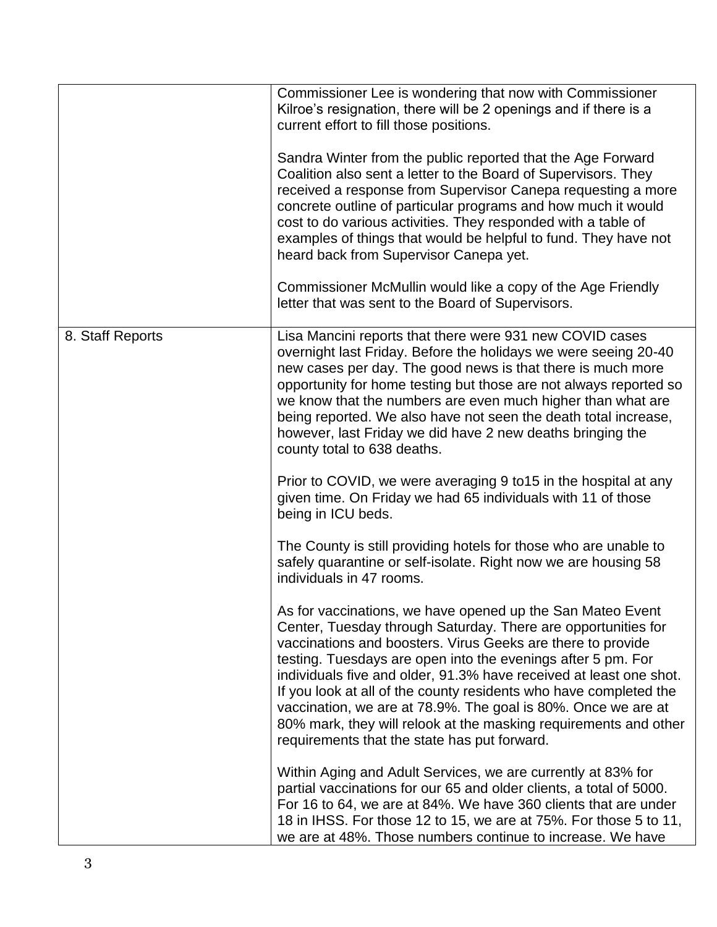|                  | Commissioner Lee is wondering that now with Commissioner<br>Kilroe's resignation, there will be 2 openings and if there is a<br>current effort to fill those positions.                                                                                                                                                                                                                                                                                                                                                                                                                    |
|------------------|--------------------------------------------------------------------------------------------------------------------------------------------------------------------------------------------------------------------------------------------------------------------------------------------------------------------------------------------------------------------------------------------------------------------------------------------------------------------------------------------------------------------------------------------------------------------------------------------|
|                  | Sandra Winter from the public reported that the Age Forward<br>Coalition also sent a letter to the Board of Supervisors. They<br>received a response from Supervisor Canepa requesting a more<br>concrete outline of particular programs and how much it would<br>cost to do various activities. They responded with a table of<br>examples of things that would be helpful to fund. They have not<br>heard back from Supervisor Canepa yet.                                                                                                                                               |
|                  | Commissioner McMullin would like a copy of the Age Friendly<br>letter that was sent to the Board of Supervisors.                                                                                                                                                                                                                                                                                                                                                                                                                                                                           |
| 8. Staff Reports | Lisa Mancini reports that there were 931 new COVID cases<br>overnight last Friday. Before the holidays we were seeing 20-40<br>new cases per day. The good news is that there is much more<br>opportunity for home testing but those are not always reported so<br>we know that the numbers are even much higher than what are<br>being reported. We also have not seen the death total increase,<br>however, last Friday we did have 2 new deaths bringing the<br>county total to 638 deaths.                                                                                             |
|                  | Prior to COVID, we were averaging 9 to 15 in the hospital at any<br>given time. On Friday we had 65 individuals with 11 of those<br>being in ICU beds.                                                                                                                                                                                                                                                                                                                                                                                                                                     |
|                  | The County is still providing hotels for those who are unable to<br>safely quarantine or self-isolate. Right now we are housing 58<br>individuals in 47 rooms.                                                                                                                                                                                                                                                                                                                                                                                                                             |
|                  | As for vaccinations, we have opened up the San Mateo Event<br>Center, Tuesday through Saturday. There are opportunities for<br>vaccinations and boosters. Virus Geeks are there to provide<br>testing. Tuesdays are open into the evenings after 5 pm. For<br>individuals five and older, 91.3% have received at least one shot.<br>If you look at all of the county residents who have completed the<br>vaccination, we are at 78.9%. The goal is 80%. Once we are at<br>80% mark, they will relook at the masking requirements and other<br>requirements that the state has put forward. |
|                  | Within Aging and Adult Services, we are currently at 83% for<br>partial vaccinations for our 65 and older clients, a total of 5000.<br>For 16 to 64, we are at 84%. We have 360 clients that are under<br>18 in IHSS. For those 12 to 15, we are at 75%. For those 5 to 11,<br>we are at 48%. Those numbers continue to increase. We have                                                                                                                                                                                                                                                  |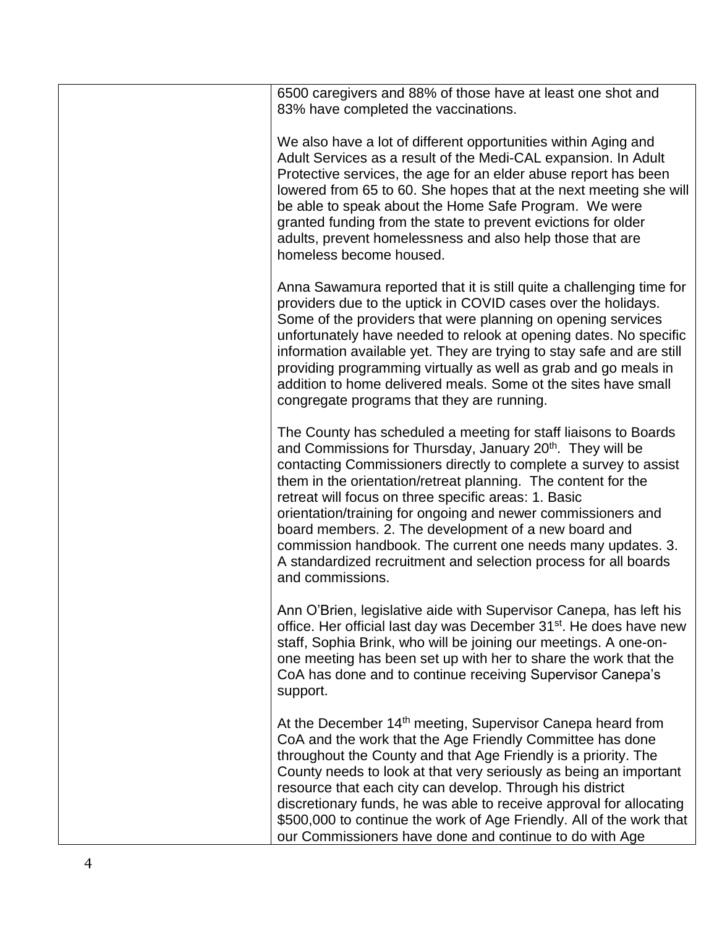| 6500 caregivers and 88% of those have at least one shot and<br>83% have completed the vaccinations.                                                                                                                                                                                                                                                                                                                                                                                                                                                                                                                 |
|---------------------------------------------------------------------------------------------------------------------------------------------------------------------------------------------------------------------------------------------------------------------------------------------------------------------------------------------------------------------------------------------------------------------------------------------------------------------------------------------------------------------------------------------------------------------------------------------------------------------|
| We also have a lot of different opportunities within Aging and<br>Adult Services as a result of the Medi-CAL expansion. In Adult<br>Protective services, the age for an elder abuse report has been<br>lowered from 65 to 60. She hopes that at the next meeting she will<br>be able to speak about the Home Safe Program. We were<br>granted funding from the state to prevent evictions for older<br>adults, prevent homelessness and also help those that are<br>homeless become housed.                                                                                                                         |
| Anna Sawamura reported that it is still quite a challenging time for<br>providers due to the uptick in COVID cases over the holidays.<br>Some of the providers that were planning on opening services<br>unfortunately have needed to relook at opening dates. No specific<br>information available yet. They are trying to stay safe and are still<br>providing programming virtually as well as grab and go meals in<br>addition to home delivered meals. Some ot the sites have small<br>congregate programs that they are running.                                                                              |
| The County has scheduled a meeting for staff liaisons to Boards<br>and Commissions for Thursday, January 20 <sup>th</sup> . They will be<br>contacting Commissioners directly to complete a survey to assist<br>them in the orientation/retreat planning. The content for the<br>retreat will focus on three specific areas: 1. Basic<br>orientation/training for ongoing and newer commissioners and<br>board members. 2. The development of a new board and<br>commission handbook. The current one needs many updates. 3.<br>A standardized recruitment and selection process for all boards<br>and commissions. |
| Ann O'Brien, legislative aide with Supervisor Canepa, has left his<br>office. Her official last day was December 31 <sup>st</sup> . He does have new<br>staff, Sophia Brink, who will be joining our meetings. A one-on-<br>one meeting has been set up with her to share the work that the<br>CoA has done and to continue receiving Supervisor Canepa's<br>support.                                                                                                                                                                                                                                               |
| At the December 14 <sup>th</sup> meeting, Supervisor Canepa heard from<br>CoA and the work that the Age Friendly Committee has done<br>throughout the County and that Age Friendly is a priority. The<br>County needs to look at that very seriously as being an important<br>resource that each city can develop. Through his district<br>discretionary funds, he was able to receive approval for allocating<br>\$500,000 to continue the work of Age Friendly. All of the work that<br>our Commissioners have done and continue to do with Age                                                                   |